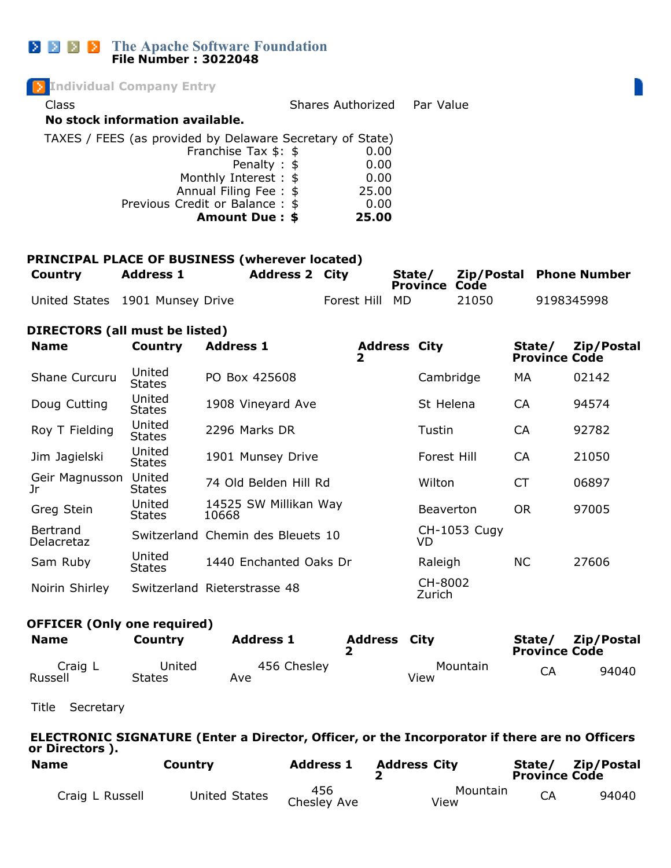## **The Apache Software Foundation File Number : 3022048**

| <b>Individual Company Entry</b>                           |                   |           |
|-----------------------------------------------------------|-------------------|-----------|
| Class                                                     | Shares Authorized | Par Value |
| No stock information available.                           |                   |           |
| TAXES / FEES (as provided by Delaware Secretary of State) |                   |           |
| Franchise Tax $$:$ \$                                     | 0.00              |           |
| Penalty : \$                                              | 0.00              |           |
| Monthly Interest : \$                                     | 0.00              |           |
| Annual Filing Fee: \$                                     | 25.00             |           |
| Previous Credit or Balance: \$                            | 0.00              |           |
| Amount Due: \$                                            | 25.00             |           |
|                                                           |                   |           |
|                                                           |                   |           |

|  | PRINCIPAL PLACE OF BUSINESS (wherever located) |  |
|--|------------------------------------------------|--|
|  |                                                |  |

| <b>Country</b> | <b>Address 1</b>                | <b>Address 2 City</b> |                | State/<br><b>Province Code</b> |       | Zip/Postal Phone Number |
|----------------|---------------------------------|-----------------------|----------------|--------------------------------|-------|-------------------------|
|                | United States 1901 Munsey Drive |                       | Forest Hill MD |                                | 21050 | 9198345998              |

## **DIRECTORS (all must be listed)**

| <b>Name</b>                   | <b>Country</b>          | <b>Address 1</b>                  | <b>Address City</b><br>2 |                            | State/<br><b>Province Code</b> | Zip/Postal |
|-------------------------------|-------------------------|-----------------------------------|--------------------------|----------------------------|--------------------------------|------------|
| Shane Curcuru                 | United<br><b>States</b> | PO Box 425608                     |                          | Cambridge                  | МA                             | 02142      |
| Doug Cutting                  | United<br><b>States</b> | 1908 Vineyard Ave                 |                          | St Helena                  | <b>CA</b>                      | 94574      |
| Roy T Fielding                | United<br><b>States</b> | 2296 Marks DR                     |                          | Tustin                     | <b>CA</b>                      | 92782      |
| Jim Jagielski                 | United<br><b>States</b> | 1901 Munsey Drive                 |                          | Forest Hill                | <b>CA</b>                      | 21050      |
| Geir Magnusson<br>Jr          | United<br><b>States</b> | 74 Old Belden Hill Rd             |                          | Wilton                     | <b>CT</b>                      | 06897      |
| Greg Stein                    | United<br><b>States</b> | 14525 SW Millikan Way<br>10668    |                          | <b>Beaverton</b>           | <b>OR</b>                      | 97005      |
| Bertrand<br><b>Delacretaz</b> |                         | Switzerland Chemin des Bleuets 10 |                          | <b>CH-1053 Cugy</b><br>VD. |                                |            |
| Sam Ruby                      | United<br><b>States</b> | 1440 Enchanted Oaks Dr            |                          | Raleigh                    | <b>NC</b>                      | 27606      |
| Noirin Shirley                |                         | Switzerland Rieterstrasse 48      |                          | CH-8002<br>Zurich          |                                |            |

## **OFFICER (Only one required)**

| <b>Name</b>        | Country          | <b>Address 1</b>   | <b>Address City</b> |                  | State/<br><b>Province Code</b> | Zip/Postal |
|--------------------|------------------|--------------------|---------------------|------------------|--------------------------------|------------|
| Craig L<br>Russell | United<br>States | 456 Chesley<br>Ave |                     | Mountain<br>View | CA                             | 94040      |

Title Secretary

#### **ELECTRONIC SIGNATURE (Enter a Director, Officer, or the Incorporator if there are no Officers or Directors ).**

| <b>Name</b>     | Country       | <b>Address 1</b>   | <b>Address City</b> | State/<br><b>Province Code</b> | Zip/Postal |
|-----------------|---------------|--------------------|---------------------|--------------------------------|------------|
| Craig L Russell | United States | 456<br>Chesley Ave | Mountain<br>View    | <b>CA</b>                      | 94040      |